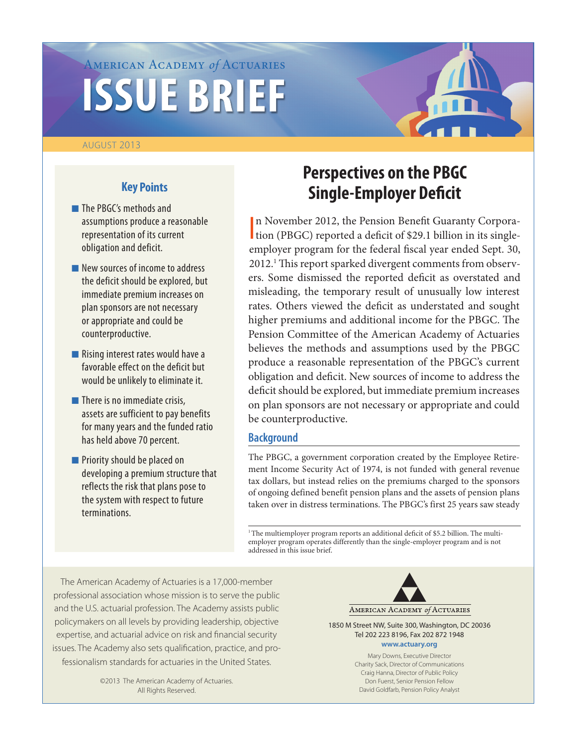# American Academy *of* Actuaries **ISSUE BRIEF**

#### August 2013

# **Key Points**

- **n** The PBGC's methods and assumptions produce a reasonable representation of its current obligation and deficit.
- $\blacksquare$  New sources of income to address the deficit should be explored, but immediate premium increases on plan sponsors are not necessary or appropriate and could be counterproductive.
- $\blacksquare$  Rising interest rates would have a favorable effect on the deficit but would be unlikely to eliminate it.
- $\blacksquare$  There is no immediate crisis, assets are sufficient to pay benefits for many years and the funded ratio has held above 70 percent.
- **n** Priority should be placed on developing a premium structure that reflects the risk that plans pose to the system with respect to future terminations.

# **Perspectives on the PBGC Single-Employer Deficit**

I n November 2012, the Pension Benefit Guaranty Corporation (PBGC) reported a deficit of \$29.1 billion in its singleemployer program for the federal fiscal year ended Sept. 30, 2012.<sup>1</sup> This report sparked divergent comments from observers. Some dismissed the reported deficit as overstated and misleading, the temporary result of unusually low interest rates. Others viewed the deficit as understated and sought higher premiums and additional income for the PBGC. The Pension Committee of the American Academy of Actuaries believes the methods and assumptions used by the PBGC produce a reasonable representation of the PBGC's current obligation and deficit. New sources of income to address the deficit should be explored, but immediate premium increases on plan sponsors are not necessary or appropriate and could be counterproductive.

### **Background**

The PBGC, a government corporation created by the Employee Retirement Income Security Act of 1974, is not funded with general revenue tax dollars, but instead relies on the premiums charged to the sponsors of ongoing defined benefit pension plans and the assets of pension plans taken over in distress terminations. The PBGC's first 25 years saw steady

 $1$ <sup>1</sup> The multiemployer program reports an additional deficit of \$5.2 billion. The multiemployer program operates differently than the single-employer program and is not addressed in this issue brief.

The American Academy of Actuaries is a 17,000-member professional association whose mission is to serve the public and the U.S. actuarial profession. The Academy assists public policymakers on all levels by providing leadership, objective expertise, and actuarial advice on risk and financial security issues. The Academy also sets qualification, practice, and professionalism standards for actuaries in the United States.

> ©2013 The American Academy of Actuaries. All Rights Reserved.



1850 M Street NW, Suite 300, Washington, DC 20036 Tel 202 223 8196, Fax 202 872 1948 **www.actuary.org**

> Mary Downs, Executive Director Charity Sack, Director of Communications Craig Hanna, Director of Public Policy Don Fuerst, Senior Pension Fellow David Goldfarb, Pension Policy Analyst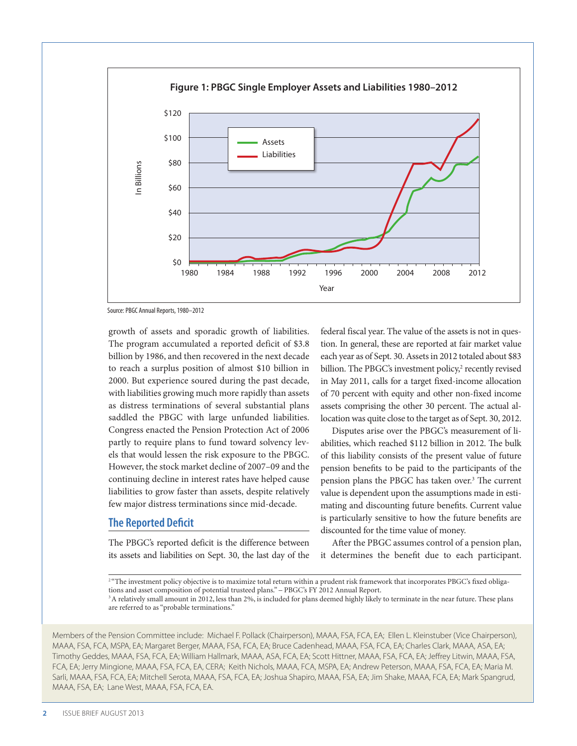

Source: PBGC Annual Reports, 1980–2012

growth of assets and sporadic growth of liabilities. The program accumulated a reported deficit of \$3.8 billion by 1986, and then recovered in the next decade to reach a surplus position of almost \$10 billion in 2000. But experience soured during the past decade, with liabilities growing much more rapidly than assets as distress terminations of several substantial plans saddled the PBGC with large unfunded liabilities. Congress enacted the Pension Protection Act of 2006 partly to require plans to fund toward solvency levels that would lessen the risk exposure to the PBGC. However, the stock market decline of 2007–09 and the continuing decline in interest rates have helped cause liabilities to grow faster than assets, despite relatively few major distress terminations since mid-decade.

#### **The Reported Deficit**

The PBGC's reported deficit is the difference between its assets and liabilities on Sept. 30, the last day of the

federal fiscal year. The value of the assets is not in question. In general, these are reported at fair market value each year as of Sept. 30. Assets in 2012 totaled about \$83 billion. The PBGC's investment policy,<sup>2</sup> recently revised in May 2011, calls for a target fixed-income allocation of 70 percent with equity and other non-fixed income assets comprising the other 30 percent. The actual allocation was quite close to the target as of Sept. 30, 2012.

Disputes arise over the PBGC's measurement of liabilities, which reached \$112 billion in 2012. The bulk of this liability consists of the present value of future pension benefits to be paid to the participants of the pension plans the PBGC has taken over.<sup>3</sup> The current value is dependent upon the assumptions made in estimating and discounting future benefits. Current value is particularly sensitive to how the future benefits are discounted for the time value of money.

After the PBGC assumes control of a pension plan, it determines the benefit due to each participant.

<sup>2</sup> "The investment policy objective is to maximize total return within a prudent risk framework that incorporates PBGC's fixed obligations and asset composition of potential trusteed plans." – PBGC's FY 2012 Annual Report. <sup>3</sup> A relatively small amount in 2012, less than 2%, is included for plans deemed highly likely to terminate in the near future. These plans

are referred to as "probable terminations."

Members of the Pension Committee include: Michael F. Pollack (Chairperson), MAAA, FSA, FCA, EA; Ellen L. Kleinstuber (Vice Chairperson), MAAA, FSA, FCA, MSPA, EA; Margaret Berger, MAAA, FSA, FCA, EA; Bruce Cadenhead, MAAA, FSA, FCA, EA; Charles Clark, MAAA, ASA, EA; Timothy Geddes, MAAA, FSA, FCA, EA; William Hallmark, MAAA, ASA, FCA, EA; Scott Hittner, MAAA, FSA, FCA, EA; Jeffrey Litwin, MAAA, FSA, FCA, EA; Jerry Mingione, MAAA, FSA, FCA, EA, CERA; Keith Nichols, MAAA, FCA, MSPA, EA; Andrew Peterson, MAAA, FSA, FCA, EA; Maria M. Sarli, MAAA, FSA, FCA, EA; Mitchell Serota, MAAA, FSA, FCA, EA; Joshua Shapiro, MAAA, FSA, EA; Jim Shake, MAAA, FCA, EA; Mark Spangrud, MAAA, FSA, EA; Lane West, MAAA, FSA, FCA, EA.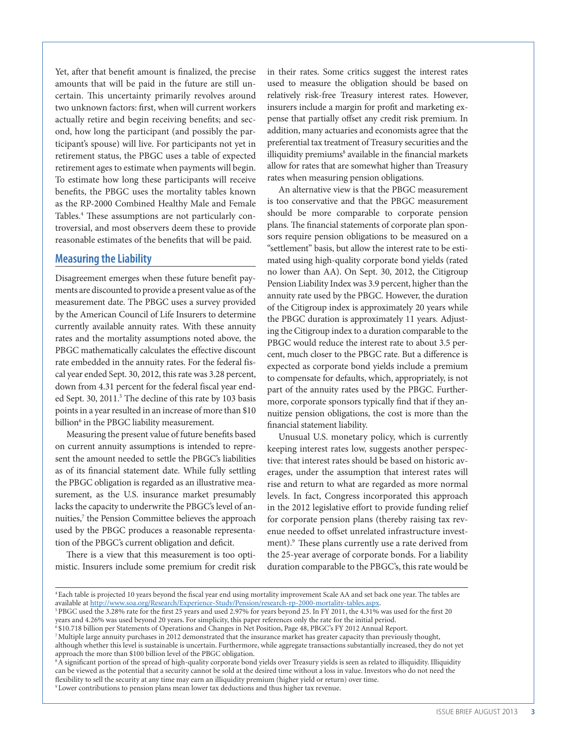Yet, after that benefit amount is finalized, the precise amounts that will be paid in the future are still uncertain. This uncertainty primarily revolves around two unknown factors: first, when will current workers actually retire and begin receiving benefits; and second, how long the participant (and possibly the participant's spouse) will live. For participants not yet in retirement status, the PBGC uses a table of expected retirement ages to estimate when payments will begin. To estimate how long these participants will receive benefits, the PBGC uses the mortality tables known as the RP-2000 Combined Healthy Male and Female Tables.4 These assumptions are not particularly controversial, and most observers deem these to provide reasonable estimates of the benefits that will be paid.

#### **Measuring the Liability**

Disagreement emerges when these future benefit payments are discounted to provide a present value as of the measurement date. The PBGC uses a survey provided by the American Council of Life Insurers to determine currently available annuity rates. With these annuity rates and the mortality assumptions noted above, the PBGC mathematically calculates the effective discount rate embedded in the annuity rates. For the federal fiscal year ended Sept. 30, 2012, this rate was 3.28 percent, down from 4.31 percent for the federal fiscal year ended Sept. 30, 2011.<sup>5</sup> The decline of this rate by 103 basis points in a year resulted in an increase of more than \$10 billion<sup>6</sup> in the PBGC liability measurement.

Measuring the present value of future benefits based on current annuity assumptions is intended to represent the amount needed to settle the PBGC's liabilities as of its financial statement date. While fully settling the PBGC obligation is regarded as an illustrative measurement, as the U.S. insurance market presumably lacks the capacity to underwrite the PBGC's level of annuities,<sup>7</sup> the Pension Committee believes the approach used by the PBGC produces a reasonable representation of the PBGC's current obligation and deficit.

There is a view that this measurement is too optimistic. Insurers include some premium for credit risk in their rates. Some critics suggest the interest rates used to measure the obligation should be based on relatively risk-free Treasury interest rates. However, insurers include a margin for profit and marketing expense that partially offset any credit risk premium. In addition, many actuaries and economists agree that the preferential tax treatment of Treasury securities and the illiquidity premiums<sup>8</sup> available in the financial markets allow for rates that are somewhat higher than Treasury rates when measuring pension obligations.

An alternative view is that the PBGC measurement is too conservative and that the PBGC measurement should be more comparable to corporate pension plans. The financial statements of corporate plan sponsors require pension obligations to be measured on a "settlement" basis, but allow the interest rate to be estimated using high-quality corporate bond yields (rated no lower than AA). On Sept. 30, 2012, the Citigroup Pension Liability Index was 3.9 percent, higher than the annuity rate used by the PBGC. However, the duration of the Citigroup index is approximately 20 years while the PBGC duration is approximately 11 years. Adjusting the Citigroup index to a duration comparable to the PBGC would reduce the interest rate to about 3.5 percent, much closer to the PBGC rate. But a difference is expected as corporate bond yields include a premium to compensate for defaults, which, appropriately, is not part of the annuity rates used by the PBGC. Furthermore, corporate sponsors typically find that if they annuitize pension obligations, the cost is more than the financial statement liability.

Unusual U.S. monetary policy, which is currently keeping interest rates low, suggests another perspective: that interest rates should be based on historic averages, under the assumption that interest rates will rise and return to what are regarded as more normal levels. In fact, Congress incorporated this approach in the 2012 legislative effort to provide funding relief for corporate pension plans (thereby raising tax revenue needed to offset unrelated infrastructure investment).<sup>9</sup> These plans currently use a rate derived from the 25-year average of corporate bonds. For a liability duration comparable to the PBGC's, this rate would be

<sup>8</sup> A significant portion of the spread of high-quality corporate bond yields over Treasury yields is seen as related to illiquidity. Illiquidity can be viewed as the potential that a security cannot be sold at the desired time without a loss in value. Investors who do not need the flexibility to sell the security at any time may earn an illiquidity premium (higher yield or return) over time.

<sup>4</sup> Each table is projected 10 years beyond the fiscal year end using mortality improvement Scale AA and set back one year. The tables are available at http://www.soa.org/Research/Experience-Study/Pension/research-rp-2000-mortality-tables.aspx.<br><sup>5</sup>PBGC used the 3.28% rate for the first 25 years and used 2.97% for years beyond 25. In FY 2011, the 4.31% was use

years and 4.26% was used beyond 20 years. For simplicity, this paper references only the rate for the initial period.

<sup>6 \$10.718</sup> billion per Statements of Operations and Changes in Net Position, Page 48, PBGC's FY 2012 Annual Report.

<sup>7</sup> Multiple large annuity purchases in 2012 demonstrated that the insurance market has greater capacity than previously thought, although whether this level is sustainable is uncertain. Furthermore, while aggregate transactions substantially increased, they do not yet approach the more than \$100 billion level of the PBGC obligation.

<sup>9</sup> Lower contributions to pension plans mean lower tax deductions and thus higher tax revenue.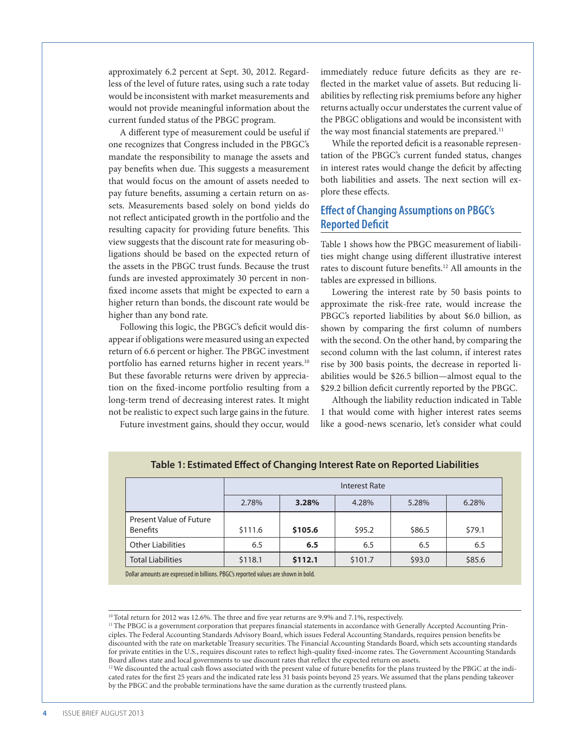approximately 6.2 percent at Sept. 30, 2012. Regardless of the level of future rates, using such a rate today would be inconsistent with market measurements and would not provide meaningful information about the current funded status of the PBGC program.

A different type of measurement could be useful if one recognizes that Congress included in the PBGC's mandate the responsibility to manage the assets and pay benefits when due. This suggests a measurement that would focus on the amount of assets needed to pay future benefits, assuming a certain return on assets. Measurements based solely on bond yields do not reflect anticipated growth in the portfolio and the resulting capacity for providing future benefits. This view suggests that the discount rate for measuring obligations should be based on the expected return of the assets in the PBGC trust funds. Because the trust funds are invested approximately 30 percent in nonfixed income assets that might be expected to earn a higher return than bonds, the discount rate would be higher than any bond rate.

Following this logic, the PBGC's deficit would disappear if obligations were measured using an expected return of 6.6 percent or higher. The PBGC investment portfolio has earned returns higher in recent years.<sup>10</sup> But these favorable returns were driven by appreciation on the fixed-income portfolio resulting from a long-term trend of decreasing interest rates. It might not be realistic to expect such large gains in the future.

Future investment gains, should they occur, would

immediately reduce future deficits as they are reflected in the market value of assets. But reducing liabilities by reflecting risk premiums before any higher returns actually occur understates the current value of the PBGC obligations and would be inconsistent with the way most financial statements are prepared.<sup>11</sup>

While the reported deficit is a reasonable representation of the PBGC's current funded status, changes in interest rates would change the deficit by affecting both liabilities and assets. The next section will explore these effects.

## **Effect of Changing Assumptions on PBGC's Reported Deficit**

Table 1 shows how the PBGC measurement of liabilities might change using different illustrative interest rates to discount future benefits.12 All amounts in the tables are expressed in billions.

Lowering the interest rate by 50 basis points to approximate the risk-free rate, would increase the PBGC's reported liabilities by about \$6.0 billion, as shown by comparing the first column of numbers with the second. On the other hand, by comparing the second column with the last column, if interest rates rise by 300 basis points, the decrease in reported liabilities would be \$26.5 billion—almost equal to the \$29.2 billion deficit currently reported by the PBGC.

Although the liability reduction indicated in Table 1 that would come with higher interest rates seems like a good-news scenario, let's consider what could

|                                                                                     | <b>Interest Rate</b> |         |         |        |        |  |  |
|-------------------------------------------------------------------------------------|----------------------|---------|---------|--------|--------|--|--|
|                                                                                     | 2.78%                | 3.28%   | 4.28%   | 5.28%  | 6.28%  |  |  |
| Present Value of Future<br><b>Benefits</b>                                          | \$111.6              | \$105.6 | \$95.2  | \$86.5 | \$79.1 |  |  |
| <b>Other Liabilities</b>                                                            | 6.5                  | 6.5     | 6.5     | 6.5    | 6.5    |  |  |
| <b>Total Liabilities</b>                                                            | \$118.1              | \$112.1 | \$101.7 | \$93.0 | \$85.6 |  |  |
| Dollar amounts are expressed in billions. PBGC's reported values are shown in bold. |                      |         |         |        |        |  |  |

#### **Table 1: Estimated Effect of Changing Interest Rate on Reported Liabilities**

<sup>10</sup> Total return for 2012 was 12.6%. The three and five year returns are 9.9% and 7.1%, respectively.

<sup>&</sup>lt;sup>11</sup> The PBGC is a government corporation that prepares financial statements in accordance with Generally Accepted Accounting Principles. The Federal Accounting Standards Advisory Board, which issues Federal Accounting Standards, requires pension benefits be discounted with the rate on marketable Treasury securities. The Financial Accounting Standards Board, which sets accounting standards for private entities in the U.S., requires discount rates to reflect high-quality fixed-income rates. The Government Accounting Standards Board allows state and local governments to use discount rates that reflect the expected return on assets.

<sup>&</sup>lt;sup>12</sup> We discounted the actual cash flows associated with the present value of future benefits for the plans trusteed by the PBGC at the indicated rates for the first 25 years and the indicated rate less 31 basis points beyond 25 years. We assumed that the plans pending takeover by the PBGC and the probable terminations have the same duration as the currently trusteed plans.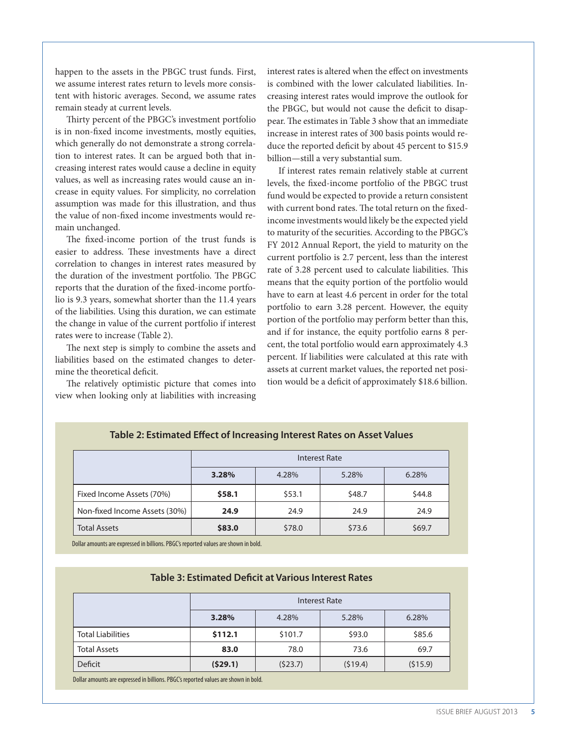happen to the assets in the PBGC trust funds. First, we assume interest rates return to levels more consistent with historic averages. Second, we assume rates remain steady at current levels.

Thirty percent of the PBGC's investment portfolio is in non-fixed income investments, mostly equities, which generally do not demonstrate a strong correlation to interest rates. It can be argued both that increasing interest rates would cause a decline in equity values, as well as increasing rates would cause an increase in equity values. For simplicity, no correlation assumption was made for this illustration, and thus the value of non-fixed income investments would remain unchanged.

The fixed-income portion of the trust funds is easier to address. These investments have a direct correlation to changes in interest rates measured by the duration of the investment portfolio. The PBGC reports that the duration of the fixed-income portfolio is 9.3 years, somewhat shorter than the 11.4 years of the liabilities. Using this duration, we can estimate the change in value of the current portfolio if interest rates were to increase (Table 2).

The next step is simply to combine the assets and liabilities based on the estimated changes to determine the theoretical deficit.

The relatively optimistic picture that comes into view when looking only at liabilities with increasing

interest rates is altered when the effect on investments is combined with the lower calculated liabilities. Increasing interest rates would improve the outlook for the PBGC, but would not cause the deficit to disappear. The estimates in Table 3 show that an immediate increase in interest rates of 300 basis points would reduce the reported deficit by about 45 percent to \$15.9 billion—still a very substantial sum.

If interest rates remain relatively stable at current levels, the fixed-income portfolio of the PBGC trust fund would be expected to provide a return consistent with current bond rates. The total return on the fixedincome investments would likely be the expected yield to maturity of the securities. According to the PBGC's FY 2012 Annual Report, the yield to maturity on the current portfolio is 2.7 percent, less than the interest rate of 3.28 percent used to calculate liabilities. This means that the equity portion of the portfolio would have to earn at least 4.6 percent in order for the total portfolio to earn 3.28 percent. However, the equity portion of the portfolio may perform better than this, and if for instance, the equity portfolio earns 8 percent, the total portfolio would earn approximately 4.3 percent. If liabilities were calculated at this rate with assets at current market values, the reported net position would be a deficit of approximately \$18.6 billion.

|                               | Interest Rate |        |        |        |  |
|-------------------------------|---------------|--------|--------|--------|--|
|                               | 3.28%         | 4.28%  | 5.28%  | 6.28%  |  |
| Fixed Income Assets (70%)     | \$58.1        | \$53.1 | \$48.7 | \$44.8 |  |
| Non-fixed Income Assets (30%) | 24.9          | 24.9   | 24.9   | 24.9   |  |
| <b>Total Assets</b>           | \$83.0        | \$78.0 | \$73.6 | \$69.7 |  |

#### **Table 2: Estimated Effect of Increasing Interest Rates on Asset Values**

Dollar amounts are expressed in billions. PBGC's reported values are shown in bold.

#### **Table 3: Estimated Deficit at Various Interest Rates**

|                          | Interest Rate |         |         |         |  |  |
|--------------------------|---------------|---------|---------|---------|--|--|
|                          | 3.28%         | 4.28%   | 5.28%   | 6.28%   |  |  |
| <b>Total Liabilities</b> | \$112.1       | \$101.7 | \$93.0  | \$85.6  |  |  |
| <b>Total Assets</b>      | 83.0          | 78.0    | 73.6    | 69.7    |  |  |
| Deficit                  | (529.1)       | (523.7) | (519.4) | (515.9) |  |  |

Dollar amounts are expressed in billions. PBGC's reported values are shown in bold.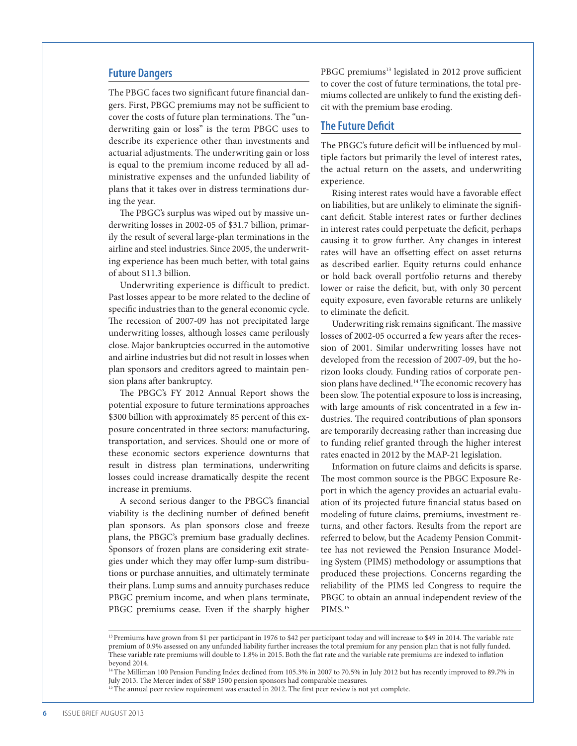#### **Future Dangers**

The PBGC faces two significant future financial dangers. First, PBGC premiums may not be sufficient to cover the costs of future plan terminations. The "underwriting gain or loss" is the term PBGC uses to describe its experience other than investments and actuarial adjustments. The underwriting gain or loss is equal to the premium income reduced by all administrative expenses and the unfunded liability of plans that it takes over in distress terminations during the year.

The PBGC's surplus was wiped out by massive underwriting losses in 2002-05 of \$31.7 billion, primarily the result of several large-plan terminations in the airline and steel industries. Since 2005, the underwriting experience has been much better, with total gains of about \$11.3 billion.

Underwriting experience is difficult to predict. Past losses appear to be more related to the decline of specific industries than to the general economic cycle. The recession of 2007-09 has not precipitated large underwriting losses, although losses came perilously close. Major bankruptcies occurred in the automotive and airline industries but did not result in losses when plan sponsors and creditors agreed to maintain pension plans after bankruptcy.

The PBGC's FY 2012 Annual Report shows the potential exposure to future terminations approaches \$300 billion with approximately 85 percent of this exposure concentrated in three sectors: manufacturing, transportation, and services. Should one or more of these economic sectors experience downturns that result in distress plan terminations, underwriting losses could increase dramatically despite the recent increase in premiums.

A second serious danger to the PBGC's financial viability is the declining number of defined benefit plan sponsors. As plan sponsors close and freeze plans, the PBGC's premium base gradually declines. Sponsors of frozen plans are considering exit strategies under which they may offer lump-sum distributions or purchase annuities, and ultimately terminate their plans. Lump sums and annuity purchases reduce PBGC premium income, and when plans terminate, PBGC premiums cease. Even if the sharply higher

PBGC premiums<sup>13</sup> legislated in 2012 prove sufficient to cover the cost of future terminations, the total premiums collected are unlikely to fund the existing deficit with the premium base eroding.

#### **The Future Deficit**

The PBGC's future deficit will be influenced by multiple factors but primarily the level of interest rates, the actual return on the assets, and underwriting experience.

Rising interest rates would have a favorable effect on liabilities, but are unlikely to eliminate the significant deficit. Stable interest rates or further declines in interest rates could perpetuate the deficit, perhaps causing it to grow further. Any changes in interest rates will have an offsetting effect on asset returns as described earlier. Equity returns could enhance or hold back overall portfolio returns and thereby lower or raise the deficit, but, with only 30 percent equity exposure, even favorable returns are unlikely to eliminate the deficit.

Underwriting risk remains significant. The massive losses of 2002-05 occurred a few years after the recession of 2001. Similar underwriting losses have not developed from the recession of 2007-09, but the horizon looks cloudy. Funding ratios of corporate pension plans have declined.<sup>14</sup> The economic recovery has been slow. The potential exposure to loss is increasing, with large amounts of risk concentrated in a few industries. The required contributions of plan sponsors are temporarily decreasing rather than increasing due to funding relief granted through the higher interest rates enacted in 2012 by the MAP-21 legislation.

Information on future claims and deficits is sparse. The most common source is the PBGC Exposure Report in which the agency provides an actuarial evaluation of its projected future financial status based on modeling of future claims, premiums, investment returns, and other factors. Results from the report are referred to below, but the Academy Pension Committee has not reviewed the Pension Insurance Modeling System (PIMS) methodology or assumptions that produced these projections. Concerns regarding the reliability of the PIMS led Congress to require the PBGC to obtain an annual independent review of the PIMS.<sup>15</sup>

14 The Milliman 100 Pension Funding Index declined from 105.3% in 2007 to 70.5% in July 2012 but has recently improved to 89.7% in July 2013. The Mercer index of S&P 1500 pension sponsors had comparable measures.

<sup>&</sup>lt;sup>13</sup> Premiums have grown from \$1 per participant in 1976 to \$42 per participant today and will increase to \$49 in 2014. The variable rate premium of 0.9% assessed on any unfunded liability further increases the total premium for any pension plan that is not fully funded. These variable rate premiums will double to 1.8% in 2015. Both the flat rate and the variable rate premiums are indexed to inflation beyond 2014.

<sup>&</sup>lt;sup>15</sup> The annual peer review requirement was enacted in 2012. The first peer review is not yet complete.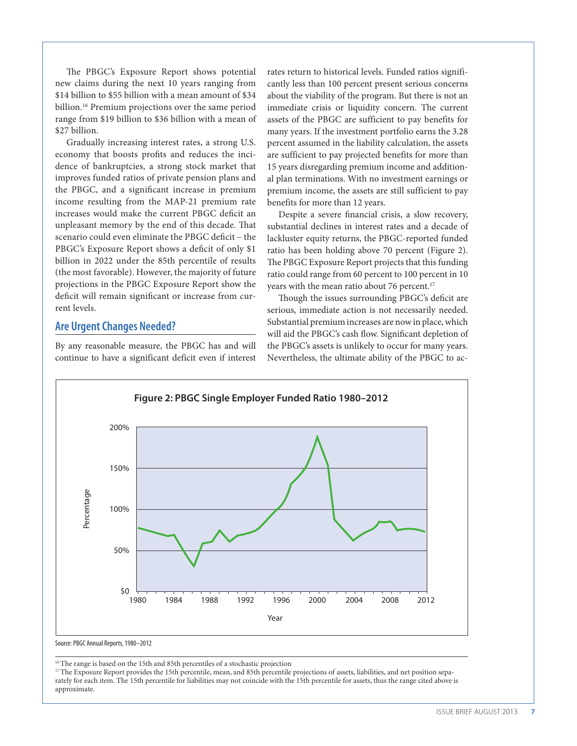The PBGC's Exposure Report shows potential new claims during the next 10 years ranging from \$14 billion to \$55 billion with a mean amount of \$34 billion.16 Premium projections over the same period range from \$19 billion to \$36 billion with a mean of \$27 billion.

Gradually increasing interest rates, a strong U.S. economy that boosts profits and reduces the incidence of bankruptcies, a strong stock market that improves funded ratios of private pension plans and the PBGC, and a significant increase in premium income resulting from the MAP-21 premium rate increases would make the current PBGC deficit an unpleasant memory by the end of this decade. That scenario could even eliminate the PBGC deficit – the PBGC's Exposure Report shows a deficit of only \$1 billion in 2022 under the 85th percentile of results (the most favorable). However, the majority of future projections in the PBGC Exposure Report show the deficit will remain significant or increase from current levels.

#### **Are Urgent Changes Needed?**

By any reasonable measure, the PBGC has and will continue to have a significant deficit even if interest rates return to historical levels. Funded ratios significantly less than 100 percent present serious concerns about the viability of the program. But there is not an immediate crisis or liquidity concern. The current assets of the PBGC are sufficient to pay benefits for many years. If the investment portfolio earns the 3.28 percent assumed in the liability calculation, the assets are sufficient to pay projected benefits for more than 15 years disregarding premium income and additional plan terminations. With no investment earnings or premium income, the assets are still sufficient to pay benefits for more than 12 years.

Despite a severe financial crisis, a slow recovery, substantial declines in interest rates and a decade of lackluster equity returns, the PBGC-reported funded ratio has been holding above 70 percent (Figure 2). The PBGC Exposure Report projects that this funding ratio could range from 60 percent to 100 percent in 10 years with the mean ratio about 76 percent.<sup>17</sup>

Though the issues surrounding PBGC's deficit are serious, immediate action is not necessarily needed. Substantial premium increases are now in place, which will aid the PBGC's cash flow. Significant depletion of the PBGC's assets is unlikely to occur for many years. Nevertheless, the ultimate ability of the PBGC to ac-



Source: PBGC Annual Reports, 1980–2012

<sup>16</sup> The range is based on the 15th and 85th percentiles of a stochastic projection

<sup>17</sup>The Exposure Report provides the 15th percentile, mean, and 85th percentile projections of assets, liabilities, and net position separately for each item. The 15th percentile for liabilities may not coincide with the 15th percentile for assets, thus the range cited above is approximate.